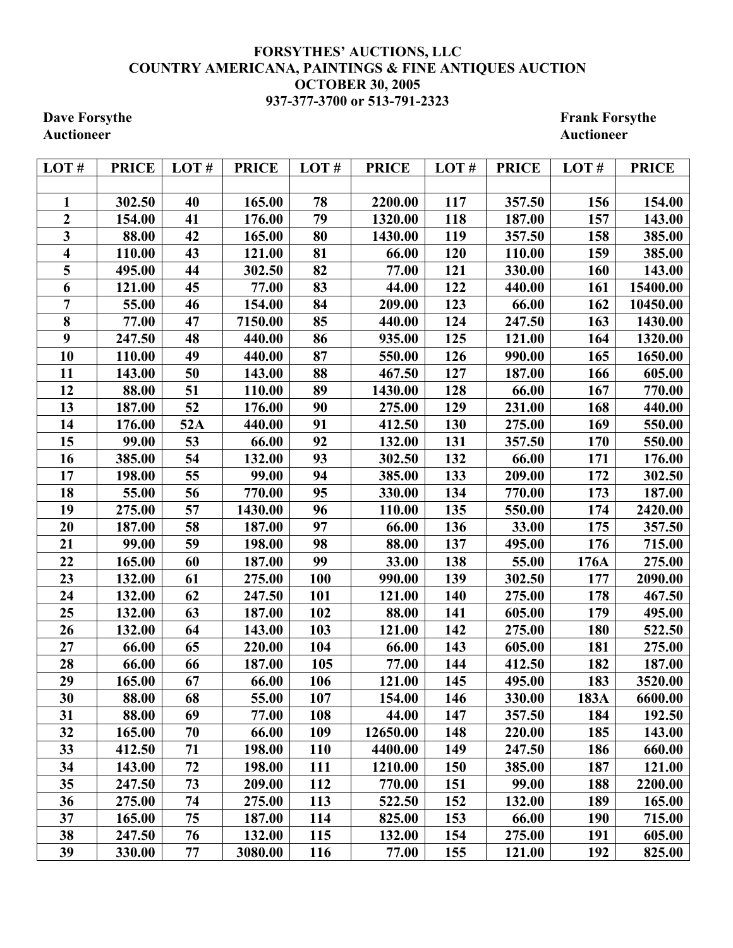## **FORSYTHES' AUCTIONS, LLC COUNTRY AMERICANA, PAINTINGS & FINE ANTIQUES AUCTION OCTOBER 30, 2005 937-377-3700 or 513-791-2323**

**Dave Forsythe Frank Forsythe Frank Forsythe Frank Forsythe Auctioneer Auctioneer** 

| LOT#                    | <b>PRICE</b> | LOT# | <b>PRICE</b> | LOT#       | <b>PRICE</b> | LOT#       | <b>PRICE</b> | LOT#       | <b>PRICE</b> |
|-------------------------|--------------|------|--------------|------------|--------------|------------|--------------|------------|--------------|
|                         |              |      |              |            |              |            |              |            |              |
| 1                       | 302.50       | 40   | 165.00       | 78         | 2200.00      | 117        | 357.50       | 156        | 154.00       |
| $\overline{\mathbf{2}}$ | 154.00       | 41   | 176.00       | 79         | 1320.00      | 118        | 187.00       | 157        | 143.00       |
| 3                       | 88.00        | 42   | 165.00       | 80         | 1430.00      | 119        | 357.50       | 158        | 385.00       |
| 4                       | 110.00       | 43   | 121.00       | 81         | 66.00        | 120        | 110.00       | 159        | 385.00       |
| 5                       | 495.00       | 44   | 302.50       | 82         | 77.00        | 121        | 330.00       | 160        | 143.00       |
| 6                       | 121.00       | 45   | 77.00        | 83         | 44.00        | 122        | 440.00       | 161        | 15400.00     |
| $\overline{7}$          | 55.00        | 46   | 154.00       | 84         | 209.00       | 123        | 66.00        | 162        | 10450.00     |
| 8                       | 77.00        | 47   | 7150.00      | 85         | 440.00       | 124        | 247.50       | 163        | 1430.00      |
| 9                       | 247.50       | 48   | 440.00       | 86         | 935.00       | 125        | 121.00       | 164        | 1320.00      |
| 10                      | 110.00       | 49   | 440.00       | 87         | 550.00       | 126        | 990.00       | 165        | 1650.00      |
| 11                      | 143.00       | 50   | 143.00       | 88         | 467.50       | 127        | 187.00       | 166        | 605.00       |
| 12                      | 88.00        | 51   | 110.00       | 89         | 1430.00      | 128        | 66.00        | 167        | 770.00       |
| 13                      | 187.00       | 52   | 176.00       | 90         | 275.00       | 129        | 231.00       | 168        | 440.00       |
| 14                      | 176.00       | 52A  | 440.00       | 91         | 412.50       | 130        | 275.00       | 169        | 550.00       |
| 15                      | 99.00        | 53   | 66.00        | 92         | 132.00       | 131        | 357.50       | 170        | 550.00       |
| 16                      | 385.00       | 54   | 132.00       | 93         | 302.50       | 132        | 66.00        | 171        | 176.00       |
| 17                      | 198.00       | 55   | 99.00        | 94         | 385.00       | 133        | 209.00       | 172        | 302.50       |
| 18                      | 55.00        | 56   | 770.00       | 95         | 330.00       | 134        | 770.00       | 173        | 187.00       |
| 19                      | 275.00       | 57   | 1430.00      | 96         | 110.00       | 135        | 550.00       | 174        | 2420.00      |
| 20                      | 187.00       | 58   | 187.00       | 97         | 66.00        | 136        | 33.00        | 175        | 357.50       |
| 21                      | 99.00        | 59   | 198.00       | 98         | 88.00        | 137        | 495.00       | 176        | 715.00       |
| 22                      | 165.00       | 60   | 187.00       | 99         | 33.00        | 138        | 55.00        | 176A       | 275.00       |
| 23                      | 132.00       | 61   | 275.00       | 100        | 990.00       | 139        | 302.50       | 177        | 2090.00      |
| 24                      | 132.00       | 62   | 247.50       | 101        | 121.00       | 140        | 275.00       | 178        | 467.50       |
| 25                      | 132.00       | 63   | 187.00       | 102        | 88.00        | 141        | 605.00       | 179        | 495.00       |
| 26                      | 132.00       | 64   | 143.00       | 103        | 121.00       | 142        | 275.00       | 180        | 522.50       |
| 27                      | 66.00        | 65   | 220.00       | 104        | 66.00        | 143        | 605.00       | 181        | 275.00       |
| 28                      | 66.00        | 66   | 187.00       | 105        | 77.00        | 144        | 412.50       | 182        | 187.00       |
| 29                      | 165.00       | 67   | 66.00        | 106        | 121.00       | 145        | 495.00       | 183        | 3520.00      |
| 30                      | 88.00        | 68   | 55.00        | 107        | 154.00       | 146        | 330.00       | 183A       | 6600.00      |
| 31                      | 88.00        | 69   | 77.00        | 108        | 44.00        | 147        | 357.50       | 184        | 192.50       |
| 32                      | 165.00       | 70   | 66.00        | 109        | 12650.00     | 148        | 220.00       | 185        | 143.00       |
| 33                      | 412.50       | 71   | 198.00       | 110        | 4400.00      | 149        | 247.50       | 186        | 660.00       |
| 34                      | 143.00       | 72   | 198.00       | 111        | 1210.00      | <b>150</b> | 385.00       | 187        | 121.00       |
| 35                      | 247.50       | 73   | 209.00       | 112        | 770.00       | 151        | 99.00        | 188        | 2200.00      |
| 36                      | 275.00       | 74   | 275.00       | 113        | 522.50       | 152        | 132.00       | 189        | 165.00       |
| 37                      | 165.00       | 75   | 187.00       | 114        | 825.00       | 153        | 66.00        | <b>190</b> | 715.00       |
| 38                      | 247.50       | 76   | 132.00       | 115        | 132.00       | 154        | 275.00       | 191        | 605.00       |
| 39                      | 330.00       | 77   | 3080.00      | <b>116</b> | 77.00        | 155        | 121.00       | 192        | 825.00       |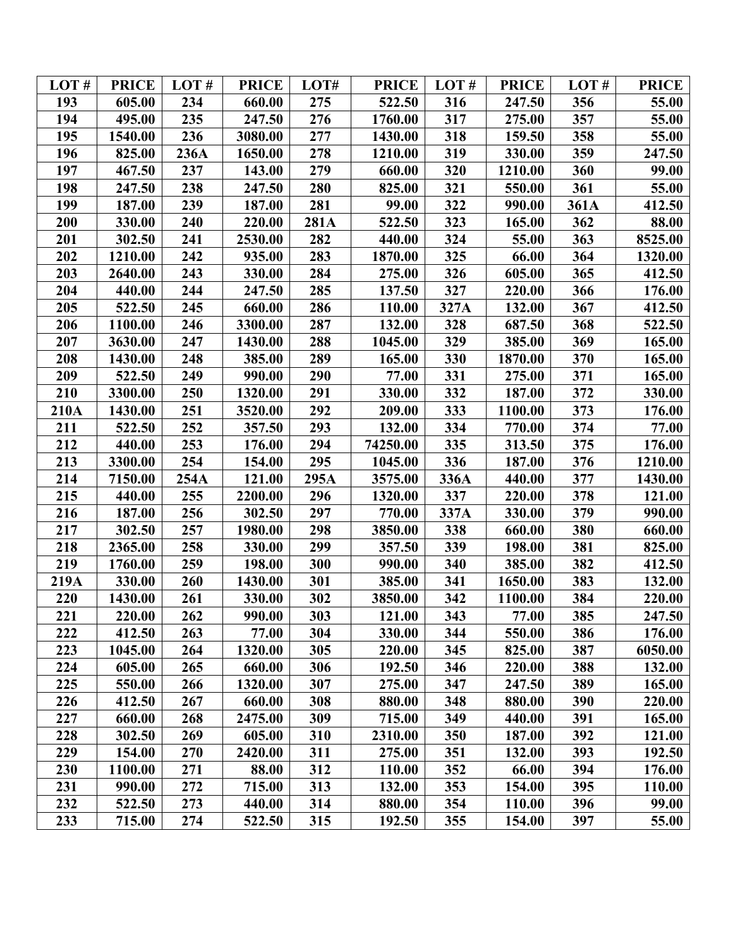| LOT# | <b>PRICE</b> | LOT# | <b>PRICE</b> | LOT# | <b>PRICE</b> | LOT# | <b>PRICE</b> | LOT# | <b>PRICE</b> |
|------|--------------|------|--------------|------|--------------|------|--------------|------|--------------|
| 193  | 605.00       | 234  | 660.00       | 275  | 522.50       | 316  | 247.50       | 356  | 55.00        |
| 194  | 495.00       | 235  | 247.50       | 276  | 1760.00      | 317  | 275.00       | 357  | 55.00        |
| 195  | 1540.00      | 236  | 3080.00      | 277  | 1430.00      | 318  | 159.50       | 358  | 55.00        |
| 196  | 825.00       | 236A | 1650.00      | 278  | 1210.00      | 319  | 330.00       | 359  | 247.50       |
| 197  | 467.50       | 237  | 143.00       | 279  | 660.00       | 320  | 1210.00      | 360  | 99.00        |
| 198  | 247.50       | 238  | 247.50       | 280  | 825.00       | 321  | 550.00       | 361  | 55.00        |
| 199  | 187.00       | 239  | 187.00       | 281  | 99.00        | 322  | 990.00       | 361A | 412.50       |
| 200  | 330.00       | 240  | 220.00       | 281A | 522.50       | 323  | 165.00       | 362  | 88.00        |
| 201  | 302.50       | 241  | 2530.00      | 282  | 440.00       | 324  | 55.00        | 363  | 8525.00      |
| 202  | 1210.00      | 242  | 935.00       | 283  | 1870.00      | 325  | 66.00        | 364  | 1320.00      |
| 203  | 2640.00      | 243  | 330.00       | 284  | 275.00       | 326  | 605.00       | 365  | 412.50       |
| 204  | 440.00       | 244  | 247.50       | 285  | 137.50       | 327  | 220.00       | 366  | 176.00       |
| 205  | 522.50       | 245  | 660.00       | 286  | 110.00       | 327A | 132.00       | 367  | 412.50       |
| 206  | 1100.00      | 246  | 3300.00      | 287  | 132.00       | 328  | 687.50       | 368  | 522.50       |
| 207  | 3630.00      | 247  | 1430.00      | 288  | 1045.00      | 329  | 385.00       | 369  | 165.00       |
| 208  | 1430.00      | 248  | 385.00       | 289  | 165.00       | 330  | 1870.00      | 370  | 165.00       |
| 209  | 522.50       | 249  | 990.00       | 290  | 77.00        | 331  | 275.00       | 371  | 165.00       |
| 210  | 3300.00      | 250  | 1320.00      | 291  | 330.00       | 332  | 187.00       | 372  | 330.00       |
| 210A | 1430.00      | 251  | 3520.00      | 292  | 209.00       | 333  | 1100.00      | 373  | 176.00       |
| 211  | 522.50       | 252  | 357.50       | 293  | 132.00       | 334  | 770.00       | 374  | 77.00        |
| 212  | 440.00       | 253  | 176.00       | 294  | 74250.00     | 335  | 313.50       | 375  | 176.00       |
| 213  | 3300.00      | 254  | 154.00       | 295  | 1045.00      | 336  | 187.00       | 376  | 1210.00      |
| 214  | 7150.00      | 254A | 121.00       | 295A | 3575.00      | 336A | 440.00       | 377  | 1430.00      |
| 215  | 440.00       | 255  | 2200.00      | 296  | 1320.00      | 337  | 220.00       | 378  | 121.00       |
| 216  | 187.00       | 256  | 302.50       | 297  | 770.00       | 337A | 330.00       | 379  | 990.00       |
| 217  | 302.50       | 257  | 1980.00      | 298  | 3850.00      | 338  | 660.00       | 380  | 660.00       |
| 218  | 2365.00      | 258  | 330.00       | 299  | 357.50       | 339  | 198.00       | 381  | 825.00       |
| 219  | 1760.00      | 259  | 198.00       | 300  | 990.00       | 340  | 385.00       | 382  | 412.50       |
| 219A | 330.00       | 260  | 1430.00      | 301  | 385.00       | 341  | 1650.00      | 383  | 132.00       |
| 220  | 1430.00      | 261  | 330.00       | 302  | 3850.00      | 342  | 1100.00      | 384  | 220.00       |
| 221  | 220.00       | 262  | 990.00       | 303  | 121.00       | 343  | 77.00        | 385  | 247.50       |
| 222  | 412.50       | 263  | 77.00        | 304  | 330.00       | 344  | 550.00       | 386  | 176.00       |
| 223  | 1045.00      | 264  | 1320.00      | 305  | 220.00       | 345  | 825.00       | 387  | 6050.00      |
| 224  | 605.00       | 265  | 660.00       | 306  | 192.50       | 346  | 220.00       | 388  | 132.00       |
| 225  | 550.00       | 266  | 1320.00      | 307  | 275.00       | 347  | 247.50       | 389  | 165.00       |
| 226  | 412.50       | 267  | 660.00       | 308  | 880.00       | 348  | 880.00       | 390  | 220.00       |
| 227  | 660.00       | 268  | 2475.00      | 309  | 715.00       | 349  | 440.00       | 391  | 165.00       |
| 228  | 302.50       | 269  | 605.00       | 310  | 2310.00      | 350  | 187.00       | 392  | 121.00       |
| 229  | 154.00       | 270  | 2420.00      | 311  | 275.00       | 351  | 132.00       | 393  | 192.50       |
| 230  | 1100.00      | 271  | 88.00        | 312  | 110.00       | 352  | 66.00        | 394  | 176.00       |
| 231  | 990.00       | 272  | 715.00       | 313  | 132.00       | 353  | 154.00       | 395  | 110.00       |
| 232  | 522.50       | 273  | 440.00       | 314  | 880.00       | 354  | 110.00       | 396  | <b>99.00</b> |
| 233  | 715.00       | 274  | 522.50       | 315  | 192.50       | 355  | 154.00       | 397  | 55.00        |